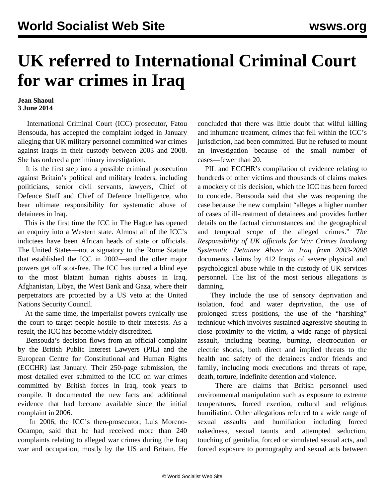## **UK referred to International Criminal Court for war crimes in Iraq**

## **Jean Shaoul 3 June 2014**

 International Criminal Court (ICC) prosecutor, Fatou Bensouda, has accepted the complaint lodged in January alleging that UK military personnel committed war crimes against Iraqis in their custody between 2003 and 2008. She has ordered a preliminary investigation.

 It is the first step into a possible criminal prosecution against Britain's political and military leaders, including politicians, senior civil servants, lawyers, Chief of Defence Staff and Chief of Defence Intelligence, who bear ultimate responsibility for systematic abuse of detainees in Iraq.

 This is the first time the ICC in The Hague has opened an enquiry into a Western state. Almost all of the ICC's indictees have been African heads of state or officials. The United States—not a signatory to the Rome Statute that established the ICC in 2002—and the other major powers get off scot-free. The ICC has turned a blind eye to the most blatant human rights abuses in Iraq, Afghanistan, Libya, the West Bank and Gaza, where their perpetrators are protected by a US veto at the United Nations Security Council.

 At the same time, the imperialist powers cynically use the court to target people hostile to their interests. As a result, the ICC has become widely discredited.

 Bensouda's decision flows from an official complaint by the British Public Interest Lawyers (PIL) and the European Centre for Constitutional and Human Rights (ECCHR) last January. Their 250-page submission, the most detailed ever submitted to the ICC on war crimes committed by British forces in Iraq, took years to compile. It documented the new facts and additional evidence that had become available since the initial complaint in 2006.

 In 2006, the ICC's then-prosecutor, Luis Moreno-Ocampo, said that he had received more than 240 complaints relating to alleged war crimes during the Iraq war and occupation, mostly by the US and Britain. He concluded that there was little doubt that wilful killing and inhumane treatment, crimes that fell within the ICC's jurisdiction, had been committed. But he refused to mount an investigation because of the small number of cases—fewer than 20.

 PIL and ECCHR's compilation of evidence relating to hundreds of other victims and thousands of claims makes a mockery of his decision, which the ICC has been forced to concede. Bensouda said that she was reopening the case because the new complaint "alleges a higher number of cases of ill-treatment of detainees and provides further details on the factual circumstances and the geographical and temporal scope of the alleged crimes." *The Responsibility of UK officials for War Crimes Involving Systematic Detainee Abuse in Iraq from 2003-2008* documents claims by 412 Iraqis of severe physical and psychological abuse while in the custody of UK services personnel. The list of the most serious allegations is damning.

 They include the use of sensory deprivation and isolation, food and water deprivation, the use of prolonged stress positions, the use of the "harshing" technique which involves sustained aggressive shouting in close proximity to the victim, a wide range of physical assault, including beating, burning, electrocution or electric shocks, both direct and implied threats to the health and safety of the detainees and/or friends and family, including mock executions and threats of rape, death, torture, indefinite detention and violence.

 There are claims that British personnel used environmental manipulation such as exposure to extreme temperatures, forced exertion, cultural and religious humiliation. Other allegations referred to a wide range of sexual assaults and humiliation including forced nakedness, sexual taunts and attempted seduction, touching of genitalia, forced or simulated sexual acts, and forced exposure to pornography and sexual acts between